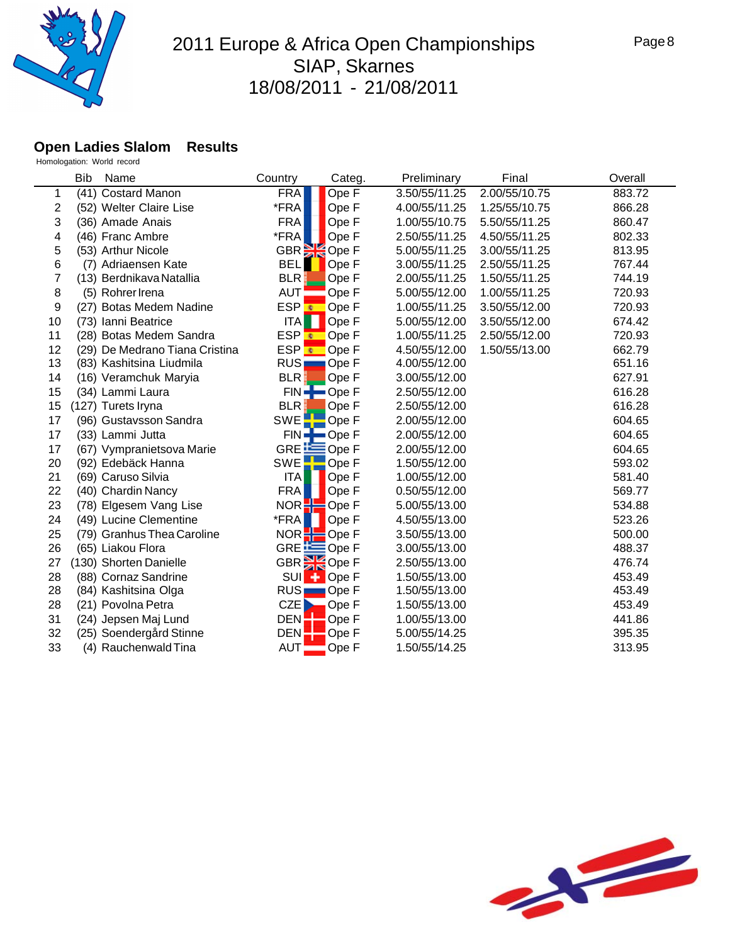

#### **Open Ladies Slalom Results**

|    | Bib<br>Name                |                                | Country                 | Categ.                          | Preliminary   | Final         | Overall |
|----|----------------------------|--------------------------------|-------------------------|---------------------------------|---------------|---------------|---------|
| 1  | (41) Costard Manon         |                                | <b>FRA</b>              | Ope F                           | 3.50/55/11.25 | 2.00/55/10.75 | 883.72  |
| 2  | (52) Welter Claire Lise    |                                | *FRA                    | Ope F                           | 4.00/55/11.25 | 1.25/55/10.75 | 866.28  |
| 3  | (36) Amade Anais           |                                | <b>FRA</b>              | Ope F                           | 1.00/55/10.75 | 5.50/55/11.25 | 860.47  |
| 4  | (46) Franc Ambre           |                                | *FRA                    | Ope F                           | 2.50/55/11.25 | 4.50/55/11.25 | 802.33  |
| 5  | (53) Arthur Nicole         |                                | GBR                     | k<br>Ope F                      | 5.00/55/11.25 | 3.00/55/11.25 | 813.95  |
| 6  | (7) Adriaensen Kate        |                                | <b>BEL</b>              | Ope F                           | 3.00/55/11.25 | 2.50/55/11.25 | 767.44  |
| 7  | (13) Berdnikava Natallia   |                                | <b>BLR</b>              | Ope F                           | 2.00/55/11.25 | 1.50/55/11.25 | 744.19  |
| 8  | (5) Rohrer Irena           |                                | <b>AUT</b>              | Ope F                           | 5.00/55/12.00 | 1.00/55/11.25 | 720.93  |
| 9  | (27) Botas Medem Nadine    |                                | ESP <mark>⊛</mark>      | Ope F                           | 1.00/55/11.25 | 3.50/55/12.00 | 720.93  |
| 10 | (73) Ianni Beatrice        |                                | ITA                     | Ope F                           | 5.00/55/12.00 | 3.50/55/12.00 | 674.42  |
| 11 | (28) Botas Medem Sandra    |                                | ESP C Ope F             |                                 | 1.00/55/11.25 | 2.50/55/12.00 | 720.93  |
| 12 |                            | (29) De Medrano Tiana Cristina | ESP Cope F              |                                 | 4.50/55/12.00 | 1.50/55/13.00 | 662.79  |
| 13 | (83) Kashitsina Liudmila   |                                | RUS                     | Ope F                           | 4.00/55/12.00 |               | 651.16  |
| 14 | (16) Veramchuk Maryia      |                                | <b>BLR</b>              | Ope F                           | 3.00/55/12.00 |               | 627.91  |
| 15 | (34) Lammi Laura           |                                | $FIN =$                 | $\blacksquare$ Ope F            | 2.50/55/12.00 |               | 616.28  |
| 15 | (127) Turets Iryna         |                                | <b>BLR</b>              | Ope F                           | 2.50/55/12.00 |               | 616.28  |
| 17 | (96) Gustavsson Sandra     |                                | <b>SWE</b>              | Ope F                           | 2.00/55/12.00 |               | 604.65  |
| 17 | (33) Lammi Jutta           |                                |                         | $FIN \rightarrow \text{Ope } F$ | 2.00/55/12.00 |               | 604.65  |
| 17 | (67) Vympranietsova Marie  |                                | GRE <b>LEE</b>          | Ope F                           | 2.00/55/12.00 |               | 604.65  |
| 20 | (92) Edebäck Hanna         |                                | <b>SWE</b>              | Ope F                           | 1.50/55/12.00 |               | 593.02  |
| 21 | (69) Caruso Silvia         |                                | ITA                     | Ope F                           | 1.00/55/12.00 |               | 581.40  |
| 22 | (40) Chardin Nancy         |                                | <b>FRA</b>              | Ope F                           | 0.50/55/12.00 |               | 569.77  |
| 23 | (78) Elgesem Vang Lise     |                                | NOR <sub>2</sub>        | Ope F                           | 5.00/55/13.00 |               | 534.88  |
| 24 | (49) Lucine Clementine     |                                | *FRA                    | Ope F                           | 4.50/55/13.00 |               | 523.26  |
| 25 | (79) Granhus Thea Caroline |                                | NOR                     | $\blacksquare$ Ope F            | 3.50/55/13.00 |               | 500.00  |
| 26 | (65) Liakou Flora          |                                | GRE $E$ Ope F           |                                 | 3.00/55/13.00 |               | 488.37  |
| 27 | (130) Shorten Danielle     |                                | GBR <sup>SK</sup> Ope F |                                 | 2.50/55/13.00 |               | 476.74  |
| 28 | (88) Cornaz Sandrine       |                                | <b>SUI</b>              | Ope F                           | 1.50/55/13.00 |               | 453.49  |
| 28 | (84) Kashitsina Olga       |                                | RUS <sub>I</sub>        | Ope F                           | 1.50/55/13.00 |               | 453.49  |
| 28 | (21) Povolna Petra         |                                | CZE<br>D                | Ope F                           | 1.50/55/13.00 |               | 453.49  |
| 31 | (24) Jepsen Maj Lund       |                                | <b>DEN</b>              | Ope F                           | 1.00/55/13.00 |               | 441.86  |
| 32 | (25) Soendergård Stinne    |                                | <b>DEN</b>              | Ope F                           | 5.00/55/14.25 |               | 395.35  |
| 33 | (4) Rauchenwald Tina       |                                | <b>AUT</b>              | Ope F                           | 1.50/55/14.25 |               | 313.95  |
|    |                            |                                |                         |                                 |               |               |         |

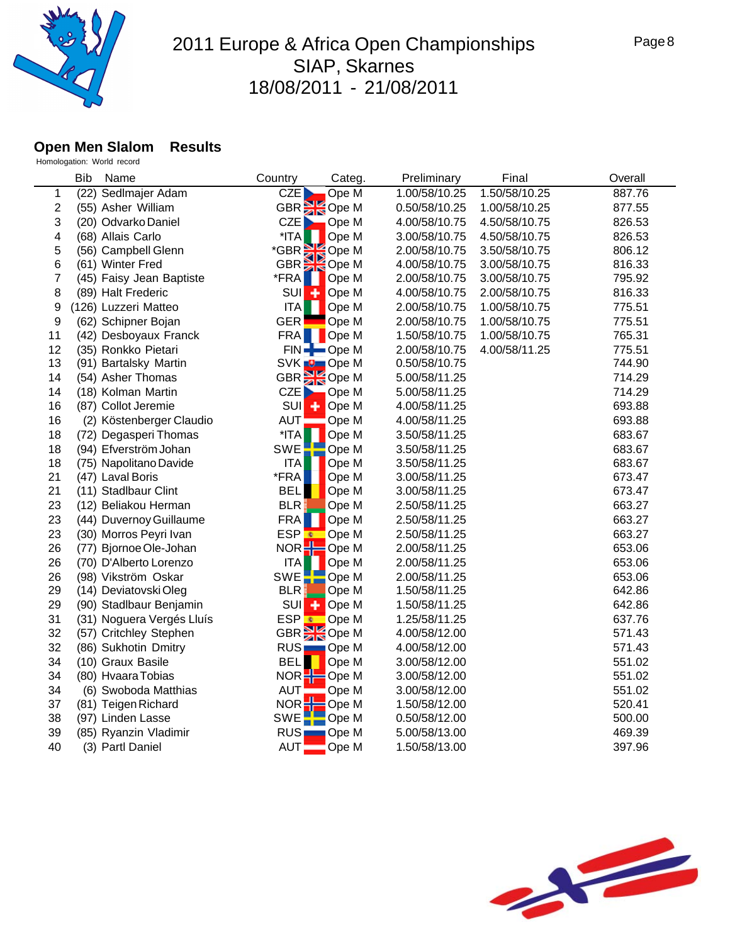

#### **Open Men Slalom Results**

|                | <b>Bib</b> | Name                      | Country          | Categ.                    | Preliminary   | Final         | Overall |
|----------------|------------|---------------------------|------------------|---------------------------|---------------|---------------|---------|
| 1              |            | (22) Sedlmajer Adam       | CZE              | Ope M                     | 1.00/58/10.25 | 1.50/58/10.25 | 887.76  |
| $\overline{2}$ |            | (55) Asher William        |                  | GBR <sup>S</sup> Ope M    | 0.50/58/10.25 | 1.00/58/10.25 | 877.55  |
| 3              |            | (20) Odvarko Daniel       | CZE              | Ope M                     | 4.00/58/10.75 | 4.50/58/10.75 | 826.53  |
| 4              |            | (68) Allais Carlo         | *ITA             | Ope M                     | 3.00/58/10.75 | 4.50/58/10.75 | 826.53  |
| 5              |            | (56) Campbell Glenn       |                  | Ope M                     | 2.00/58/10.75 | 3.50/58/10.75 | 806.12  |
| 6              |            | (61) Winter Fred          |                  | *GBR SOPE M<br>GBR SOPE M | 4.00/58/10.75 | 3.00/58/10.75 | 816.33  |
| 7              |            | (45) Faisy Jean Baptiste  | *FRA             | Ope M                     | 2.00/58/10.75 | 3.00/58/10.75 | 795.92  |
| 8              |            | (89) Halt Frederic        | <b>SUI</b>       | Ope M                     | 4.00/58/10.75 | 2.00/58/10.75 | 816.33  |
| 9              |            | (126) Luzzeri Matteo      | <b>ITA</b>       | Ope M                     | 2.00/58/10.75 | 1.00/58/10.75 | 775.51  |
| 9              |            | (62) Schipner Bojan       | <b>GER</b>       | Ope M                     | 2.00/58/10.75 | 1.00/58/10.75 | 775.51  |
| 11             |            | (42) Desboyaux Franck     | FRA              | OpeM                      | 1.50/58/10.75 | 1.00/58/10.75 | 765.31  |
| 12             |            | (35) Ronkko Pietari       |                  | FIN-Ope M                 | 2.00/58/10.75 | 4.00/58/11.25 | 775.51  |
| 13             |            | (91) Bartalsky Martin     |                  | SVK <b>D</b> Ope M        | 0.50/58/10.75 |               | 744.90  |
| 14             |            | (54) Asher Thomas         |                  | GBR <sup>3</sup> Ope M    | 5.00/58/11.25 |               | 714.29  |
| 14             |            | (18) Kolman Martin        | CZE <sub>D</sub> | Ope M                     | 5.00/58/11.25 |               | 714.29  |
| 16             |            | (87) Collot Jeremie       | SUI              | Ope M<br>٠                | 4.00/58/11.25 |               | 693.88  |
| 16             |            | (2) Köstenberger Claudio  | <b>AUT</b>       | Ope M                     | 4.00/58/11.25 |               | 693.88  |
| 18             |            | (72) Degasperi Thomas     | *ITA             | Ope M                     | 3.50/58/11.25 |               | 683.67  |
| 18             |            | (94) Efverström Johan     | SWE              | Ope M                     | 3.50/58/11.25 |               | 683.67  |
| 18             |            | (75) Napolitano Davide    | <b>ITA</b>       | Ope M                     | 3.50/58/11.25 |               | 683.67  |
| 21             |            | (47) Laval Boris          | *FRA             | Ope M                     | 3.00/58/11.25 |               | 673.47  |
| 21             |            | (11) Stadlbaur Clint      | <b>BEL</b>       | Ope M                     | 3.00/58/11.25 |               | 673.47  |
| 23             |            | (12) Beliakou Herman      | <b>BLR</b>       | Ope M                     | 2.50/58/11.25 |               | 663.27  |
| 23             |            | (44) Duvernoy Guillaume   | <b>FRA</b>       | Ope M                     | 2.50/58/11.25 |               | 663.27  |
| 23             |            | (30) Morros Peyri Ivan    | ESP              | Ope M                     | 2.50/58/11.25 |               | 663.27  |
| 26             |            | (77) Bjornoe Ole-Johan    | NOR              | Ope M                     | 2.00/58/11.25 |               | 653.06  |
| 26             |            | (70) D'Alberto Lorenzo    | <b>ITA</b>       | Ope M                     | 2.00/58/11.25 |               | 653.06  |
| 26             |            | (98) Vikström Oskar       | SWE              | Ope M<br>--               | 2.00/58/11.25 |               | 653.06  |
| 29             |            | (14) Deviatovski Oleg     | BLR              | Ope M                     | 1.50/58/11.25 |               | 642.86  |
| 29             |            | (90) Stadlbaur Benjamin   | SUI<br>۰         | Ope M                     | 1.50/58/11.25 |               | 642.86  |
| 31             |            | (31) Noguera Vergés Lluís | ESP <sup></sup>  | Ope M                     | 1.25/58/11.25 |               | 637.76  |
| 32             |            | (57) Critchley Stephen    |                  | GBR <sup>3</sup> Ope M    | 4.00/58/12.00 |               | 571.43  |
| 32             |            | (86) Sukhotin Dmitry      |                  | RUS Ope M                 | 4.00/58/12.00 |               | 571.43  |
| 34             |            | (10) Graux Basile         | <b>BEL</b>       | Ope M                     | 3.00/58/12.00 |               | 551.02  |
| 34             |            | (80) Hvaara Tobias        | NOR <sub>2</sub> | Ope M                     | 3.00/58/12.00 |               | 551.02  |
| 34             |            | (6) Swoboda Matthias      | <b>AUT</b>       | Ope M                     | 3.00/58/12.00 |               | 551.02  |
| 37             |            | (81) Teigen Richard       |                  | $NOR -$ Ope M             | 1.50/58/12.00 |               | 520.41  |
| 38             |            | (97) Linden Lasse         | SWE              | $\blacksquare$ Ope M      | 0.50/58/12.00 |               | 500.00  |
| 39             |            | (85) Ryanzin Vladimir     | <b>RUS</b>       | Ope M                     | 5.00/58/13.00 |               | 469.39  |
| 40             |            | (3) Partl Daniel          | <b>AUT</b>       | Ope M                     | 1.50/58/13.00 |               | 397.96  |

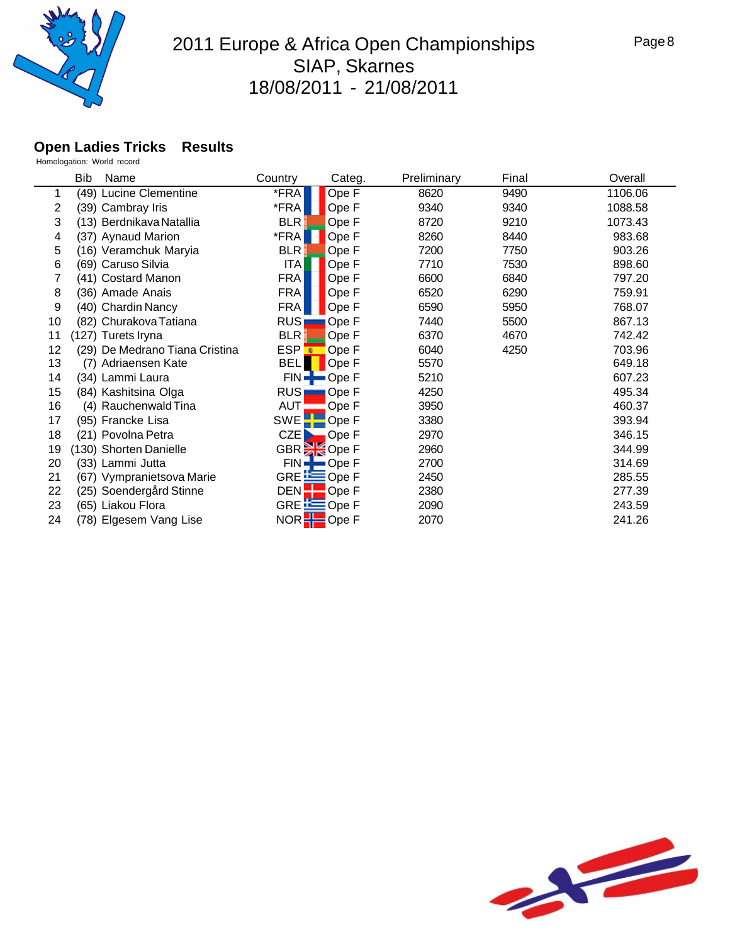

### **Open Ladies Tricks Results**

|    | Bib<br>Name                    | Country            | Categ.                  | Preliminary | Final | Overall |
|----|--------------------------------|--------------------|-------------------------|-------------|-------|---------|
|    | (49) Lucine Clementine         | *FRA               | Ope F                   | 8620        | 9490  | 1106.06 |
| 2  | (39) Cambray Iris              | *FRA               | Ope F                   | 9340        | 9340  | 1088.58 |
| 3  | (13) Berdnikava Natallia       | <b>BLR</b>         | Ope F                   | 8720        | 9210  | 1073.43 |
| 4  | (37) Aynaud Marion             | *FRA               | Ope F                   | 8260        | 8440  | 983.68  |
| 5  | (16) Veramchuk Maryia          | <b>BLR</b>         | Ope F                   | 7200        | 7750  | 903.26  |
| 6  | (69) Caruso Silvia             | <b>ITA</b>         | Ope F                   | 7710        | 7530  | 898.60  |
|    | (41) Costard Manon             | <b>FRA</b>         | Ope F                   | 6600        | 6840  | 797.20  |
| 8  | (36) Amade Anais               | <b>FRA</b>         | Ope F                   | 6520        | 6290  | 759.91  |
| 9  | (40) Chardin Nancy             | <b>FRA</b>         | Ope F                   | 6590        | 5950  | 768.07  |
| 10 | (82) Churakova Tatiana         | <b>RUS</b>         | Ope F                   | 7440        | 5500  | 867.13  |
| 11 | (127) Turets Iryna             | <b>BLR</b>         | Ope F                   | 6370        | 4670  | 742.42  |
| 12 | (29) De Medrano Tiana Cristina | ESP <mark>-</mark> | Ope F                   | 6040        | 4250  | 703.96  |
| 13 | (7) Adriaensen Kate            | <b>BEL</b>         | Ope F                   | 5570        |       | 649.18  |
| 14 | (34) Lammi Laura               |                    | $FIN -$ Ope F           | 5210        |       | 607.23  |
| 15 | (84) Kashitsina Olga           | <b>RUS</b>         | Ope F                   | 4250        |       | 495.34  |
| 16 | (4) Rauchenwald Tina           | <b>AUT</b>         | Ope F                   | 3950        |       | 460.37  |
| 17 | (95) Francke Lisa              | <b>SWE</b>         | Ope F                   | 3380        |       | 393.94  |
| 18 | (21) Povolna Petra             | CZE                | Ope F                   | 2970        |       | 346.15  |
| 19 | (130) Shorten Danielle         |                    | GBR <sup>36</sup> Ope F | 2960        |       | 344.99  |
| 20 | (33) Lammi Jutta               |                    | FIN-Ope F               | 2700        |       | 314.69  |
| 21 | (67) Vympranietsova Marie      |                    | GRE EQpe F              | 2450        |       | 285.55  |
| 22 | (25) Soendergård Stinne        | DEN <sup>1</sup>   | Ope F                   | 2380        |       | 277.39  |
| 23 | (65) Liakou Flora              |                    | GRE EOpe F              | 2090        |       | 243.59  |
| 24 | (78) Elgesem Vang Lise         |                    | NOR <b>D</b> Ope F      | 2070        |       | 241.26  |

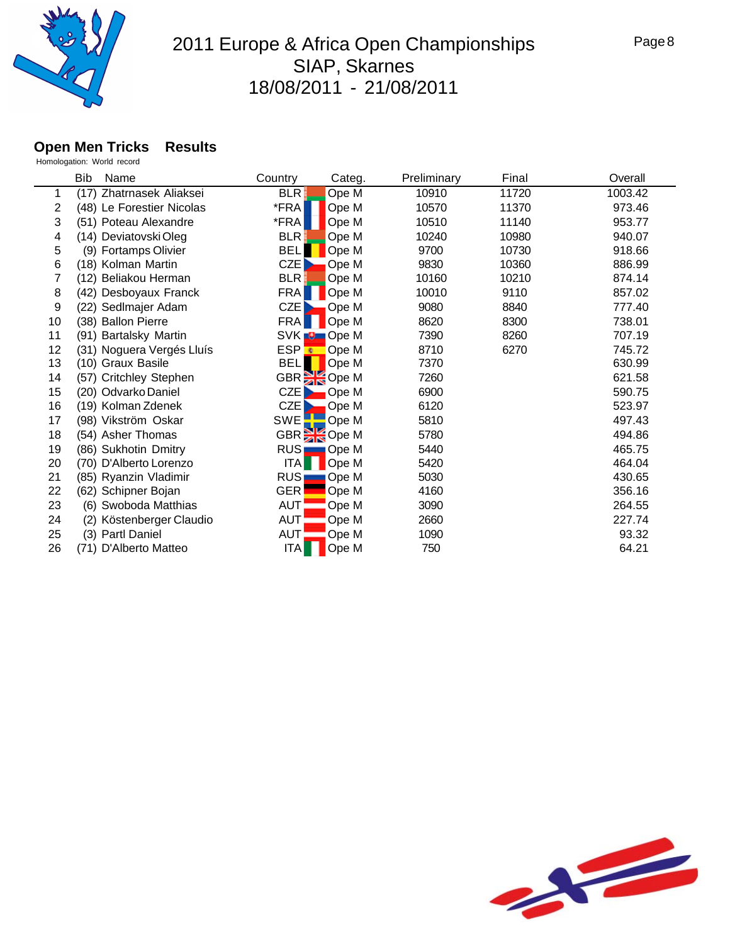

#### **Open Men Tricks Results**

|    | Bib<br>Name               | Country                              | Categ.      | Preliminary | Final | Overall |
|----|---------------------------|--------------------------------------|-------------|-------------|-------|---------|
| 1  | (17) Zhatrnasek Aliaksei  | <b>BLR</b>                           | Ope M       | 10910       | 11720 | 1003.42 |
| 2  | (48) Le Forestier Nicolas | *FRA                                 | Ope M       | 10570       | 11370 | 973.46  |
| 3  | (51) Poteau Alexandre     | *FRA                                 | Ope M       | 10510       | 11140 | 953.77  |
| 4  | (14) Deviatovski Oleg     | <b>BLR</b>                           | Ope M       | 10240       | 10980 | 940.07  |
| 5  | (9) Fortamps Olivier      | <b>BEL</b>                           | Ope M       | 9700        | 10730 | 918.66  |
| 6  | (18) Kolman Martin        | CZE                                  | Ope M       | 9830        | 10360 | 886.99  |
| 7  | (12) Beliakou Herman      | <b>BLR</b>                           | Ope M       | 10160       | 10210 | 874.14  |
| 8  | (42) Desboyaux Franck     | <b>FRA</b>                           | Ope M       | 10010       | 9110  | 857.02  |
| 9  | (22) Sedlmajer Adam       | CZE                                  | Ope M       | 9080        | 8840  | 777.40  |
| 10 | (38) Ballon Pierre        | FRA                                  | Ope M       | 8620        | 8300  | 738.01  |
| 11 | (91) Bartalsky Martin     |                                      | SVK O Ope M | 7390        | 8260  | 707.19  |
| 12 | (31) Noguera Vergés Lluís |                                      | ESP CDe M   | 8710        | 6270  | 745.72  |
| 13 | (10) Graux Basile         | <b>BEL</b>                           | Ope M       | 7370        |       | 630.99  |
| 14 | (57) Critchley Stephen    |                                      | GBR SOpe M  | 7260        |       | 621.58  |
| 15 | (20) Odvarko Daniel       | CZE                                  | Ope M       | 6900        |       | 590.75  |
| 16 | (19) Kolman Zdenek        | <b>CZE</b>                           | Ope M       | 6120        |       | 523.97  |
| 17 | (98) Vikström Oskar       | SWE                                  | Ope M       | 5810        |       | 497.43  |
| 18 | (54) Asher Thomas         |                                      | GBR Ope M   | 5780        |       | 494.86  |
| 19 | (86) Sukhotin Dmitry      | RUS                                  | Ope M       | 5440        |       | 465.75  |
| 20 | (70) D'Alberto Lorenzo    | $\overline{ \mathsf{T} \mathsf{A} }$ | Ope M       | 5420        |       | 464.04  |
| 21 | (85) Ryanzin Vladimir     | RUS <sup>1</sup>                     | Ope M       | 5030        |       | 430.65  |
| 22 | (62) Schipner Bojan       | <b>GER</b>                           | Ope M       | 4160        |       | 356.16  |
| 23 | (6) Swoboda Matthias      | <b>AUT</b>                           | Ope M       | 3090        |       | 264.55  |
| 24 | (2) Köstenberger Claudio  | AUT                                  | Ope M       | 2660        |       | 227.74  |
| 25 | (3) Partl Daniel          | AUT                                  | Ope M       | 1090        |       | 93.32   |
| 26 | (71) D'Alberto Matteo     | TA                                   | Ope M       | 750         |       | 64.21   |

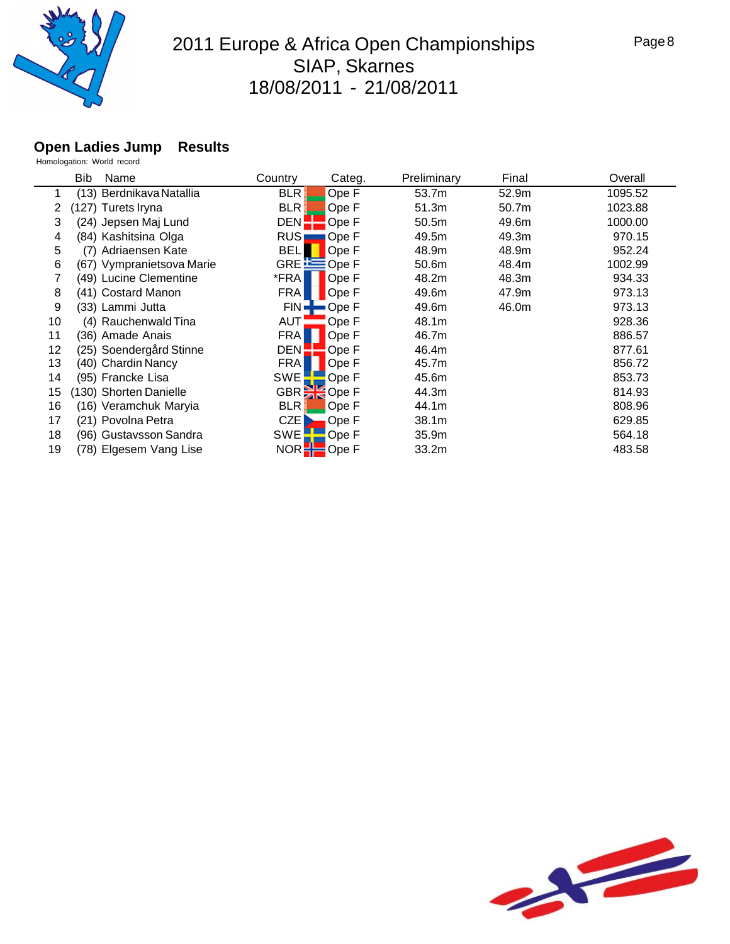

#### **Open Ladies Jump Results**

|    | Bib<br>Name               | Country     | Categ.              | Preliminary       | Final | Overall |
|----|---------------------------|-------------|---------------------|-------------------|-------|---------|
|    | (13) Berdnikava Natallia  | <b>BLR</b>  | Ope F               | 53.7m             | 52.9m | 1095.52 |
| 2  | (127) Turets Iryna        | <b>BLR</b>  | Ope F               | 51.3m             | 50.7m | 1023.88 |
| 3  | (24) Jepsen Maj Lund      | <b>DEN</b>  | Ope F               | 50.5 <sub>m</sub> | 49.6m | 1000.00 |
| 4  | (84) Kashitsina Olga      | <b>RUS</b>  | Ope F               | 49.5m             | 49.3m | 970.15  |
| 5  | (7) Adriaensen Kate       | <b>BELI</b> | Ope F               | 48.9m             | 48.9m | 952.24  |
| 6  | (67) Vympranietsova Marie |             | GRE ES Ope F        | 50.6m             | 48.4m | 1002.99 |
|    | (49) Lucine Clementine    | *FRA        | Ope F               | 48.2m             | 48.3m | 934.33  |
| 8  | (41) Costard Manon        | <b>FRA</b>  | Ope F               | 49.6m             | 47.9m | 973.13  |
| 9  | (33) Lammi Jutta          | FIN         | Ope F               | 49.6m             | 46.0m | 973.13  |
| 10 | (4) Rauchenwald Tina      | AUT         | Ope F               | 48.1m             |       | 928.36  |
| 11 | (36) Amade Anais          | <b>FRA</b>  | Ope F               | 46.7m             |       | 886.57  |
| 12 | (25) Soendergård Stinne   | <b>DEN</b>  | Ope F               | 46.4m             |       | 877.61  |
| 13 | (40) Chardin Nancy        | <b>FRA</b>  | Ope F               | 45.7m             |       | 856.72  |
| 14 | (95) Francke Lisa         | SWE         | Ope F               | 45.6m             |       | 853.73  |
| 15 | 130) Shorten Danielle     |             | GBR <b>SE</b> Ope F | 44.3m             |       | 814.93  |
| 16 | (16) Veramchuk Maryia     | <b>BLR</b>  | Ope F               | 44.1m             |       | 808.96  |
| 17 | (21) Povolna Petra        | CZE         | Ope F               | 38.1m             |       | 629.85  |
| 18 | (96) Gustavsson Sandra    | SWE         | Ope F               | 35.9m             |       | 564.18  |
| 19 | (78) Elgesem Vang Lise    | NOR         | 'Ope F              | 33.2m             |       | 483.58  |

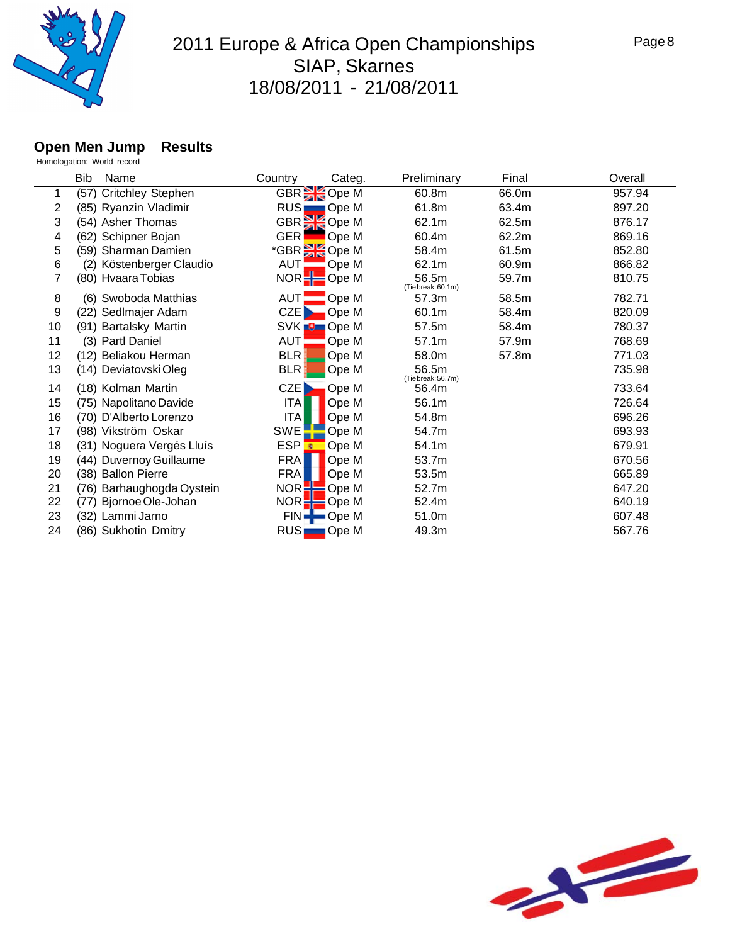

### **Open Men Jump Results**

|                | Bib<br>Name               | Country               | Categ.                  | Preliminary                 | Final | Overall |
|----------------|---------------------------|-----------------------|-------------------------|-----------------------------|-------|---------|
| 1              | (57) Critchley Stephen    |                       | GBR Ope M               | 60.8m                       | 66.0m | 957.94  |
| $\overline{2}$ | (85) Ryanzin Vladimir     |                       | RUS Ope M               | 61.8m                       | 63.4m | 897.20  |
| 3              | (54) Asher Thomas         |                       | GBR <sup>3</sup> Ope M  | 62.1m                       | 62.5m | 876.17  |
| 4              | (62) Schipner Bojan       | <b>GER</b>            | Ope M                   | 60.4m                       | 62.2m | 869.16  |
| 5              | (59) Sharman Damien       |                       | *GBR <sup>3</sup> Ope M | 58.4m                       | 61.5m | 852.80  |
| 6              | (2) Köstenberger Claudio  | AUT <b>-</b>          | Ope M                   | 62.1m                       | 60.9m | 866.82  |
| 7              | (80) Hvaara Tobias        |                       | NOR Ope M               | 56.5m<br>(Tie break: 60.1m) | 59.7m | 810.75  |
| 8              | (6) Swoboda Matthias      | AUT <sup>-</sup>      | Ope M                   | 57.3m                       | 58.5m | 782.71  |
| 9              | (22) Sedlmajer Adam       | CZE <sub>N</sub>      | Ope M                   | 60.1m                       | 58.4m | 820.09  |
| 10             | (91) Bartalsky Martin     |                       | SVK <b>D</b> Ope M      | 57.5m                       | 58.4m | 780.37  |
| 11             | (3) Partl Daniel          | AUT:                  | Ope M                   | 57.1m                       | 57.9m | 768.69  |
| 12             | (12) Beliakou Herman      | <b>BLR</b>            | Ope M                   | 58.0m                       | 57.8m | 771.03  |
| 13             | (14) Deviatovski Oleg     | <b>BLR</b>            | Ope M                   | 56.5m<br>(Tie break: 56.7m) |       | 735.98  |
| 14             | (18) Kolman Martin        | CZE                   | Ope M                   | 56.4m                       |       | 733.64  |
| 15             | (75) Napolitano Davide    | <b>ITA</b>            | Ope M                   | 56.1m                       |       | 726.64  |
| 16             | (70) D'Alberto Lorenzo    | <b>ITA</b>            | Ope M                   | 54.8m                       |       | 696.26  |
| 17             | (98) Vikström Oskar       | <b>SWE</b>            | Ope M                   | 54.7m                       |       | 693.93  |
| 18             | (31) Noguera Vergés Lluís | <b>ESP<sup></sup></b> | Ope M                   | 54.1m                       |       | 679.91  |
| 19             | (44) Duvernoy Guillaume   | <b>FRA</b>            | Ope M                   | 53.7m                       |       | 670.56  |
| 20             | (38) Ballon Pierre        | <b>FRA</b>            | Ope M                   | 53.5m                       |       | 665.89  |
| 21             | (76) Barhaughogda Oystein | NOR <sub>2</sub>      | Ope M                   | 52.7m                       |       | 647.20  |
| 22             | Bjornoe Ole-Johan<br>(77) |                       | $NOR -$ Ope M           | 52.4m                       |       | 640.19  |
| 23             | (32) Lammi Jarno          |                       | $FIN -$ Ope M           | 51.0m                       |       | 607.48  |
| 24             | (86) Sukhotin Dmitry      | RUS                   | $\Box$ Ope M            | 49.3m                       |       | 567.76  |